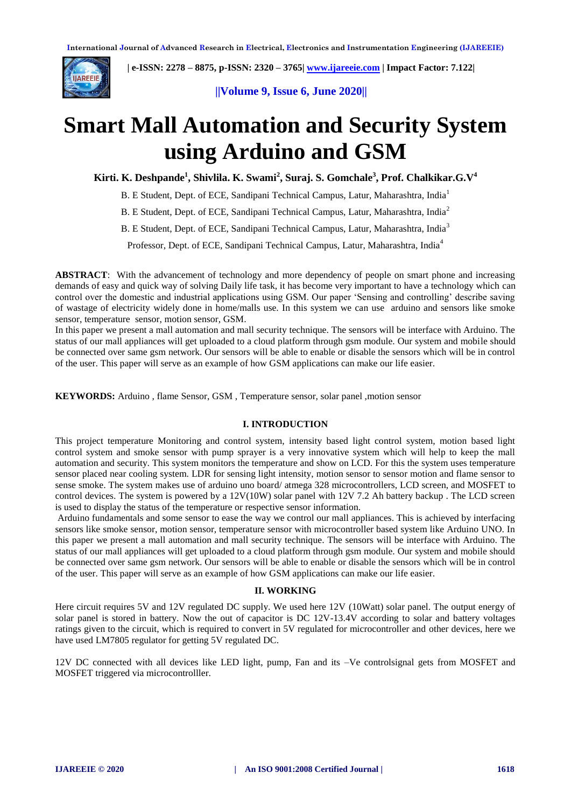

 **| e-ISSN: 2278 – 8875, p-ISSN: 2320 – 3765| [www.ijareeie.com](http://www.ijareeie.com/) | Impact Factor: 7.122|** 

 **||Volume 9, Issue 6, June 2020||** 

# **Smart Mall Automation and Security System using Arduino and GSM**

**Kirti. K. Deshpande<sup>1</sup> , Shivlila. K. Swami<sup>2</sup> , Suraj. S. Gomchale<sup>3</sup> , Prof. Chalkikar.G.V<sup>4</sup>**

B. E Student, Dept. of ECE, Sandipani Technical Campus, Latur, Maharashtra, India<sup>1</sup>

B. E Student, Dept. of ECE, Sandipani Technical Campus, Latur, Maharashtra, India<sup>2</sup>

B. E Student, Dept. of ECE, Sandipani Technical Campus, Latur, Maharashtra, India<sup>3</sup>

Professor, Dept. of ECE, Sandipani Technical Campus, Latur, Maharashtra, India<sup>4</sup>

**ABSTRACT**:With the advancement of technology and more dependency of people on smart phone and increasing demands of easy and quick way of solving Daily life task, it has become very important to have a technology which can control over the domestic and industrial applications using GSM. Our paper 'Sensing and controlling' describe saving of wastage of electricity widely done in home/malls use. In this system we can use arduino and sensors like smoke sensor, temperature sensor, motion sensor, GSM.

In this paper we present a mall automation and mall security technique. The sensors will be interface with Arduino. The status of our mall appliances will get uploaded to a cloud platform through gsm module. Our system and mobile should be connected over same gsm network. Our sensors will be able to enable or disable the sensors which will be in control of the user. This paper will serve as an example of how GSM applications can make our life easier.

**KEYWORDS:** Arduino , flame Sensor, GSM , Temperature sensor, solar panel ,motion sensor

#### **I. INTRODUCTION**

This project temperature Monitoring and control system, intensity based light control system, motion based light control system and smoke sensor with pump sprayer is a very innovative system which will help to keep the mall automation and security. This system monitors the temperature and show on LCD. For this the system uses temperature sensor placed near cooling system. LDR for sensing light intensity, motion sensor to sensor motion and flame sensor to sense smoke. The system makes use of arduino uno board/ atmega 328 microcontrollers, LCD screen, and MOSFET to control devices. The system is powered by a 12V(10W) solar panel with 12V 7.2 Ah battery backup . The LCD screen is used to display the status of the temperature or respective sensor information.

Arduino fundamentals and some sensor to ease the way we control our mall appliances. This is achieved by interfacing sensors like smoke sensor, motion sensor, temperature sensor with microcontroller based system like Arduino UNO. In this paper we present a mall automation and mall security technique. The sensors will be interface with Arduino. The status of our mall appliances will get uploaded to a cloud platform through gsm module. Our system and mobile should be connected over same gsm network. Our sensors will be able to enable or disable the sensors which will be in control of the user. This paper will serve as an example of how GSM applications can make our life easier.

#### **II. WORKING**

Here circuit requires 5V and 12V regulated DC supply. We used here 12V (10Watt) solar panel. The output energy of solar panel is stored in battery. Now the out of capacitor is DC 12V-13.4V according to solar and battery voltages ratings given to the circuit, which is required to convert in 5V regulated for microcontroller and other devices, here we have used LM7805 regulator for getting 5V regulated DC.

12V DC connected with all devices like LED light, pump, Fan and its –Ve controlsignal gets from MOSFET and MOSFET triggered via microcontrolller.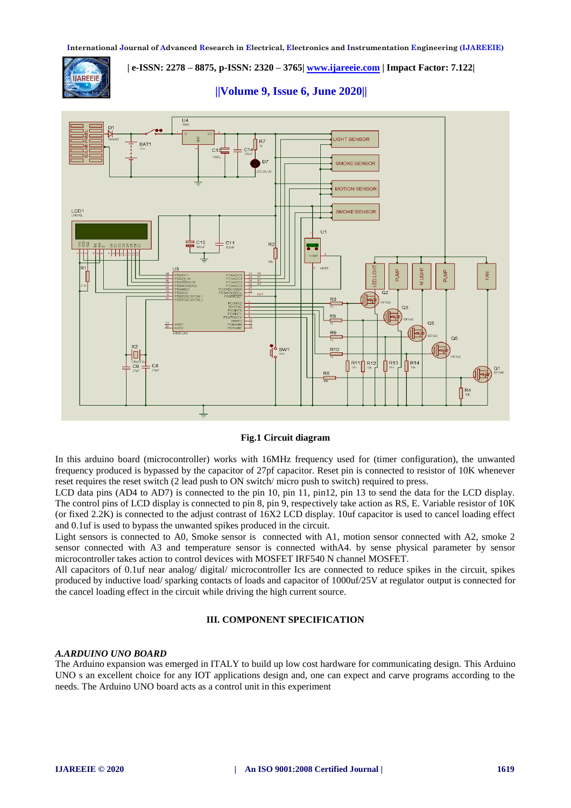

 **| e-ISSN: 2278 – 8875, p-ISSN: 2320 – 3765| [www.ijareeie.com](http://www.ijareeie.com/) | Impact Factor: 7.122|** 

 **||Volume 9, Issue 6, June 2020||** 



# **Fig.1 Circuit diagram**

In this arduino board (microcontroller) works with 16MHz frequency used for (timer configuration), the unwanted frequency produced is bypassed by the capacitor of 27pf capacitor. Reset pin is connected to resistor of 10K whenever reset requires the reset switch (2 lead push to ON switch/ micro push to switch) required to press.

LCD data pins (AD4 to AD7) is connected to the pin 10, pin 11, pin12, pin 13 to send the data for the LCD display. The control pins of LCD display is connected to pin 8, pin 9, respectively take action as RS, E. Variable resistor of 10K (or fixed 2.2K) is connected to the adjust contrast of 16X2 LCD display. 10uf capacitor is used to cancel loading effect and 0.1uf is used to bypass the unwanted spikes produced in the circuit.

Light sensors is connected to A0, Smoke sensor is connected with A1, motion sensor connected with A2, smoke 2 sensor connected with A3 and temperature sensor is connected withA4. by sense physical parameter by sensor microcontroller takes action to control devices with MOSFET IRF540 N channel MOSFET.

All capacitors of 0.1uf near analog/ digital/ microcontroller Ics are connected to reduce spikes in the circuit, spikes produced by inductive load/ sparking contacts of loads and capacitor of 1000uf/25V at regulator output is connected for the cancel loading effect in the circuit while driving the high current source.

#### **III. COMPONENT SPECIFICATION**

#### *A.ARDUINO UNO BOARD*

The Arduino expansion was emerged in ITALY to build up low cost hardware for communicating design. This Arduino UNO s an excellent choice for any IOT applications design and, one can expect and carve programs according to the needs. The Arduino UNO board acts as a control unit in this experiment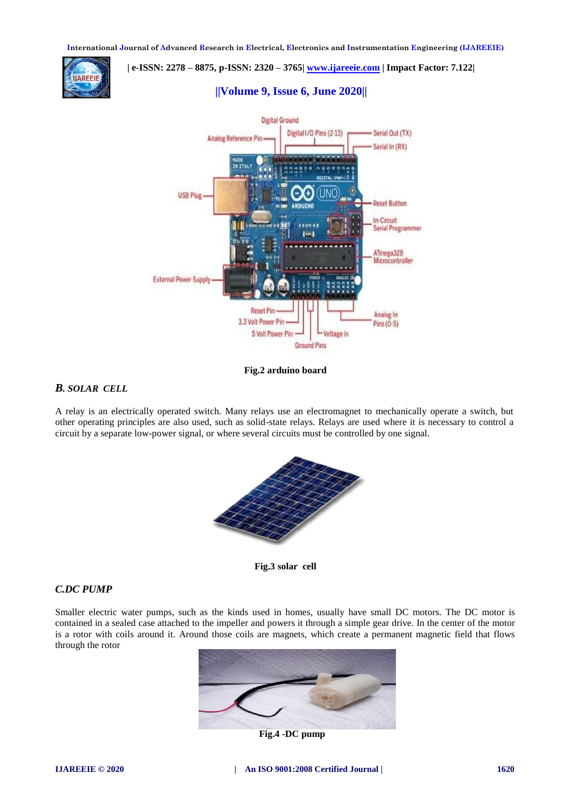

# **| e-ISSN: 2278 – 8875, p-ISSN: 2320 – 3765| [www.ijareeie.com](http://www.ijareeie.com/) | Impact Factor: 7.122| ||Volume 9, Issue 6, June 2020||**



### **Fig.2 arduino board**

# *B. SOLAR CELL*

A relay is an electrically operated switch. Many relays use an electromagnet to mechanically operate a switch, but other operating principles are also used, such as solid-state relays. Relays are used where it is necessary to control a circuit by a separate low-power signal, or where several circuits must be controlled by one signal.



**Fig.3 solar cell**

# *C.DC PUMP*

Smaller electric water pumps, such as the kinds used in homes, usually have small DC motors. The DC motor is contained in a sealed case attached to the impeller and powers it through a simple gear drive. In the center of the motor is a rotor with coils around it. Around those coils are magnets, which create a permanent magnetic field that flows through the rotor



**Fig.4 -DC pump**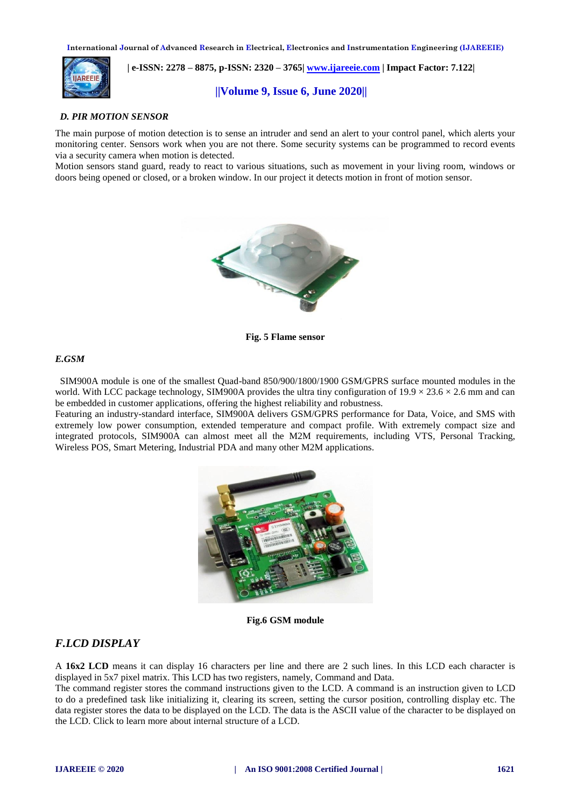

 **| e-ISSN: 2278 – 8875, p-ISSN: 2320 – 3765| [www.ijareeie.com](http://www.ijareeie.com/) | Impact Factor: 7.122|** 

# **||Volume 9, Issue 6, June 2020||**

#### *D. PIR MOTION SENSOR*

The main purpose of motion detection is to sense an intruder and send an alert to your control panel, which alerts your monitoring center. Sensors work when you are not there. Some security systems can be programmed to record events via a security camera when motion is detected.

Motion sensors stand guard, ready to react to various situations, such as movement in your living room, windows or doors being opened or closed, or a broken window. In our project it detects motion in front of motion sensor.



**Fig. 5 Flame sensor**

#### *E.GSM*

 SIM900A module is one of the smallest Quad-band 850/900/1800/1900 GSM/GPRS surface mounted modules in the world. With LCC package technology, SIM900A provides the ultra tiny configuration of  $19.9 \times 23.6 \times 2.6$  mm and can be embedded in customer applications, offering the highest reliability and robustness.

Featuring an industry-standard interface, SIM900A delivers GSM/GPRS performance for Data, Voice, and SMS with extremely low power consumption, extended temperature and compact profile. With extremely compact size and integrated protocols, SIM900A can almost meet all the M2M requirements, including VTS, Personal Tracking, Wireless POS, Smart Metering, Industrial PDA and many other M2M applications.



**Fig.6 GSM module**

# *F.LCD DISPLAY*

A **16x2 LCD** means it can display 16 characters per line and there are 2 such lines. In this LCD each character is displayed in 5x7 pixel matrix. This LCD has two registers, namely, Command and Data.

The command register stores the command instructions given to the LCD. A command is an instruction given to LCD to do a predefined task like initializing it, clearing its screen, setting the cursor position, controlling display etc. The data register stores the data to be displayed on the LCD. The data is the ASCII value of the character to be displayed on the LCD. Click to learn more about internal structure of a LCD.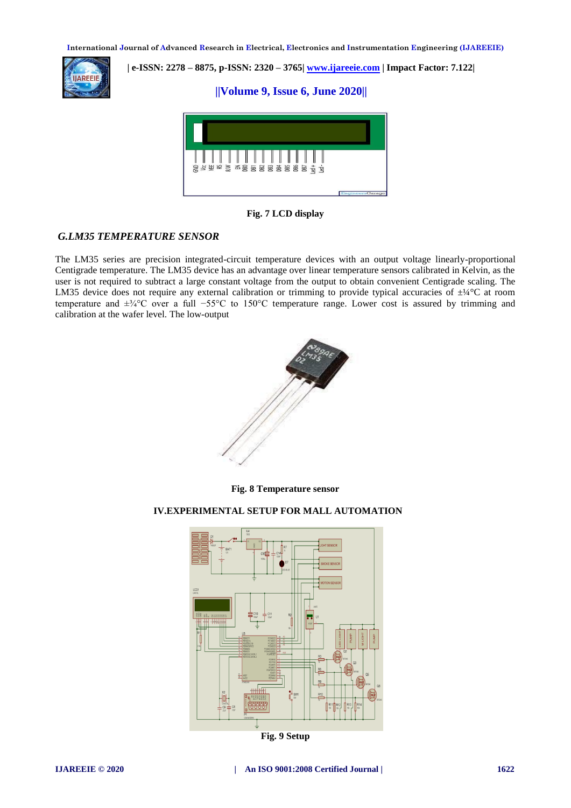

 **| e-ISSN: 2278 – 8875, p-ISSN: 2320 – 3765| [www.ijareeie.com](http://www.ijareeie.com/) | Impact Factor: 7.122|** 

# **||Volume 9, Issue 6, June 2020||**



**Fig. 7 LCD display**

# *G.LM35 TEMPERATURE SENSOR*

The LM35 series are precision integrated-circuit temperature devices with an output voltage linearly-proportional Centigrade temperature. The LM35 device has an advantage over linear temperature sensors calibrated in Kelvin, as the user is not required to subtract a large constant voltage from the output to obtain convenient Centigrade scaling. The LM35 device does not require any external calibration or trimming to provide typical accuracies of  $\pm$ <sup>1</sup>/4°C at room temperature and ±¾°C over a full −55°C to 150°C temperature range. Lower cost is assured by trimming and calibration at the wafer level. The low-output



**Fig. 8 Temperature sensor**

# **IV.EXPERIMENTAL SETUP FOR MALL AUTOMATION**



**Fig. 9 Setup**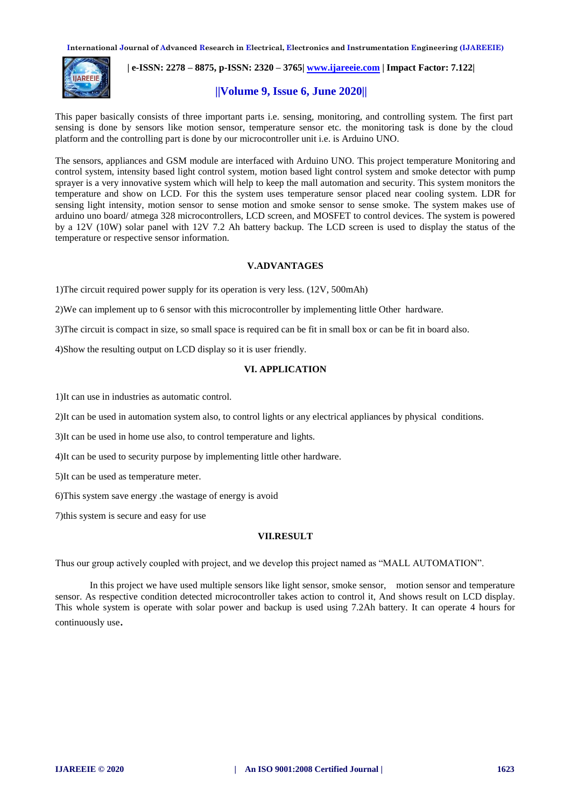

 **| e-ISSN: 2278 – 8875, p-ISSN: 2320 – 3765| [www.ijareeie.com](http://www.ijareeie.com/) | Impact Factor: 7.122|** 

# **||Volume 9, Issue 6, June 2020||**

This paper basically consists of three important parts i.e. sensing, monitoring, and controlling system. The first part sensing is done by sensors like motion sensor, temperature sensor etc. the monitoring task is done by the cloud platform and the controlling part is done by our microcontroller unit i.e. is Arduino UNO.

The sensors, appliances and GSM module are interfaced with Arduino UNO. This project temperature Monitoring and control system, intensity based light control system, motion based light control system and smoke detector with pump sprayer is a very innovative system which will help to keep the mall automation and security. This system monitors the temperature and show on LCD. For this the system uses temperature sensor placed near cooling system. LDR for sensing light intensity, motion sensor to sense motion and smoke sensor to sense smoke. The system makes use of arduino uno board/ atmega 328 microcontrollers, LCD screen, and MOSFET to control devices. The system is powered by a 12V (10W) solar panel with 12V 7.2 Ah battery backup. The LCD screen is used to display the status of the temperature or respective sensor information.

#### **V.ADVANTAGES**

1)The circuit required power supply for its operation is very less. (12V, 500mAh)

2)We can implement up to 6 sensor with this microcontroller by implementing little Other hardware.

3)The circuit is compact in size, so small space is required can be fit in small box or can be fit in board also.

4)Show the resulting output on LCD display so it is user friendly.

# **VI. APPLICATION**

1)It can use in industries as automatic control.

2)It can be used in automation system also, to control lights or any electrical appliances by physical conditions.

3)It can be used in home use also, to control temperature and lights.

4)It can be used to security purpose by implementing little other hardware.

5)It can be used as temperature meter.

6)This system save energy .the wastage of energy is avoid

7)this system is secure and easy for use

#### **VII.RESULT**

Thus our group actively coupled with project, and we develop this project named as "MALL AUTOMATION".

In this project we have used multiple sensors like light sensor, smoke sensor, motion sensor and temperature sensor. As respective condition detected microcontroller takes action to control it, And shows result on LCD display. This whole system is operate with solar power and backup is used using 7.2Ah battery. It can operate 4 hours for continuously use.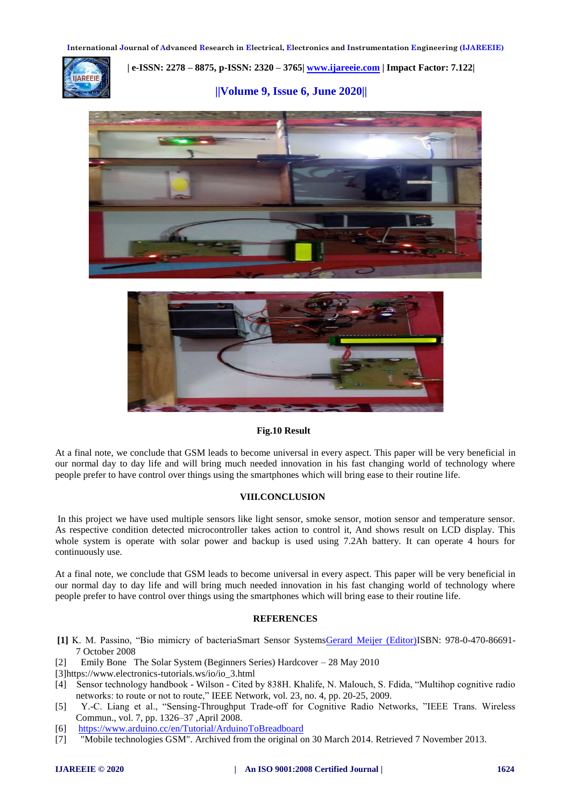

 **| e-ISSN: 2278 – 8875, p-ISSN: 2320 – 3765| [www.ijareeie.com](http://www.ijareeie.com/) | Impact Factor: 7.122|** 

 **||Volume 9, Issue 6, June 2020||** 





#### **Fig.10 Result**

At a final note, we conclude that GSM leads to become universal in every aspect. This paper will be very beneficial in our normal day to day life and will bring much needed innovation in his fast changing world of technology where people prefer to have control over things using the smartphones which will bring ease to their routine life.

#### **VIII.CONCLUSION**

In this project we have used multiple sensors like light sensor, smoke sensor, motion sensor and temperature sensor. As respective condition detected microcontroller takes action to control it, And shows result on LCD display. This whole system is operate with solar power and backup is used using 7.2Ah battery. It can operate 4 hours for continuously use.

At a final note, we conclude that GSM leads to become universal in every aspect. This paper will be very beneficial in our normal day to day life and will bring much needed innovation in his fast changing world of technology where people prefer to have control over things using the smartphones which will bring ease to their routine life.

#### **REFERENCES**

- **[1]** K. M. Passino, "Bio mimicry of bacteriaSmart Sensor System[sGerard Meijer \(Editor\)I](https://www.wiley.com/en-us/search?pq=%7Crelevance%7Cauthor%3AGerard+Meijer)SBN: 978-0-470-86691- 7 October 2008
- [2] Emily Bone The Solar System (Beginners Series) Hardcover 28 May 2010
- [3]https://www.electronics-tutorials.ws/io/io\_3.html
- [4] Sensor technology handbook Wilson Cited by 838H. Khalife, N. Malouch, S. Fdida, "Multihop cognitive radio networks: to route or not to route," IEEE Network, vol. 23, no. 4, pp. 20-25, 2009.
- [5] Y.-C. Liang et al., "Sensing-Throughput Trade-off for Cognitive Radio Networks, "IEEE Trans. Wireless Commun., vol. 7, pp. 1326–37 ,April 2008.
- [6] <https://www.arduino.cc/en/Tutorial/ArduinoToBreadboard>
- [7] "Mobile technologies GSM". Archived from the original on 30 March 2014. Retrieved 7 November 2013.